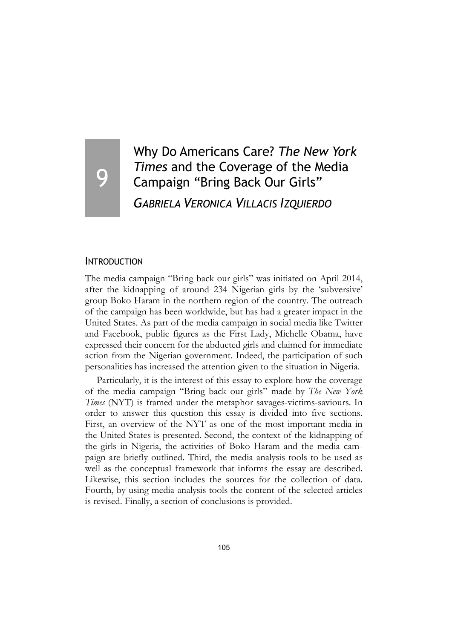# 9

# Why Do Americans Care? *The New York Times* and the Coverage of the Media Campaign "Bring Back Our Girls" *GABRIELA VERONICA VILLACIS IZQUIERDO*

#### **INTRODUCTION**

The media campaign "Bring back our girls" was initiated on April 2014, after the kidnapping of around 234 Nigerian girls by the 'subversive' group Boko Haram in the northern region of the country. The outreach of the campaign has been worldwide, but has had a greater impact in the United States. As part of the media campaign in social media like Twitter and Facebook, public figures as the First Lady, Michelle Obama, have expressed their concern for the abducted girls and claimed for immediate action from the Nigerian government. Indeed, the participation of such personalities has increased the attention given to the situation in Nigeria.

Particularly, it is the interest of this essay to explore how the coverage of the media campaign "Bring back our girls" made by *The New York Times* (NYT) is framed under the metaphor savages-victims-saviours. In order to answer this question this essay is divided into five sections. First, an overview of the NYT as one of the most important media in the United States is presented. Second, the context of the kidnapping of the girls in Nigeria, the activities of Boko Haram and the media campaign are briefly outlined. Third, the media analysis tools to be used as well as the conceptual framework that informs the essay are described. Likewise, this section includes the sources for the collection of data. Fourth, by using media analysis tools the content of the selected articles is revised. Finally, a section of conclusions is provided.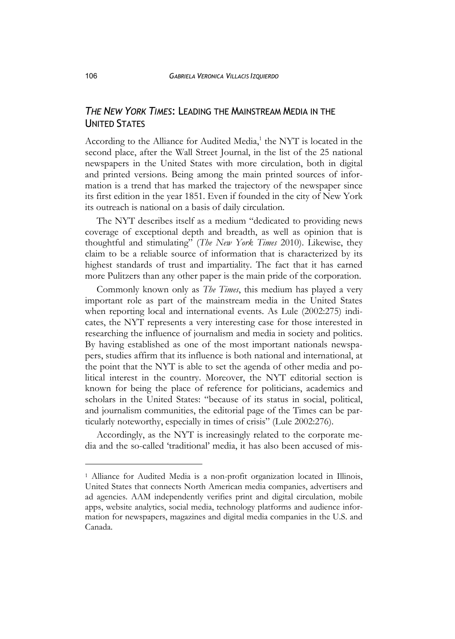# *THE NEW YORK TIMES*: LEADING THE MAINSTREAM MEDIA IN THE UNITED STATES

According to the Alliance for Audited Media, $^1$  the NYT is located in the second place, after the Wall Street Journal, in the list of the 25 national newspapers in the United States with more circulation, both in digital and printed versions. Being among the main printed sources of information is a trend that has marked the trajectory of the newspaper since its first edition in the year 1851. Even if founded in the city of New York its outreach is national on a basis of daily circulation.

The NYT describes itself as a medium "dedicated to providing news coverage of exceptional depth and breadth, as well as opinion that is thoughtful and stimulating" (*The New York Times* 2010). Likewise, they claim to be a reliable source of information that is characterized by its highest standards of trust and impartiality. The fact that it has earned more Pulitzers than any other paper is the main pride of the corporation.

Commonly known only as *The Times*, this medium has played a very important role as part of the mainstream media in the United States when reporting local and international events. As Lule (2002:275) indicates, the NYT represents a very interesting case for those interested in researching the influence of journalism and media in society and politics. By having established as one of the most important nationals newspapers, studies affirm that its influence is both national and international, at the point that the NYT is able to set the agenda of other media and political interest in the country. Moreover, the NYT editorial section is known for being the place of reference for politicians, academics and scholars in the United States: "because of its status in social, political, and journalism communities, the editorial page of the Times can be particularly noteworthy, especially in times of crisis" (Lule 2002:276).

Accordingly, as the NYT is increasingly related to the corporate media and the so-called 'traditional' media, it has also been accused of mis-

j

<sup>&</sup>lt;sup>1</sup> Alliance for Audited Media is a non-profit organization located in Illinois, United States that connects North American media companies, advertisers and ad agencies. AAM independently verifies print and digital circulation, mobile apps, website analytics, social media, technology platforms and audience information for newspapers, magazines and digital media companies in the U.S. and Canada.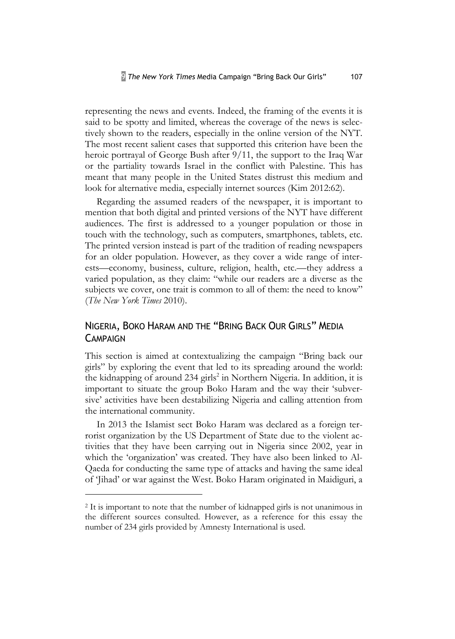representing the news and events. Indeed, the framing of the events it is said to be spotty and limited, whereas the coverage of the news is selectively shown to the readers, especially in the online version of the NYT. The most recent salient cases that supported this criterion have been the heroic portrayal of George Bush after 9/11, the support to the Iraq War or the partiality towards Israel in the conflict with Palestine. This has meant that many people in the United States distrust this medium and look for alternative media, especially internet sources (Kim 2012:62).

Regarding the assumed readers of the newspaper, it is important to mention that both digital and printed versions of the NYT have different audiences. The first is addressed to a younger population or those in touch with the technology, such as computers, smartphones, tablets, etc. The printed version instead is part of the tradition of reading newspapers for an older population. However, as they cover a wide range of interests—economy, business, culture, religion, health, etc.—they address a varied population, as they claim: "while our readers are a diverse as the subjects we cover, one trait is common to all of them: the need to know" (*The New York Times* 2010).

# NIGERIA, BOKO HARAM AND THE "BRING BACK OUR GIRLS" MEDIA **CAMPAIGN**

This section is aimed at contextualizing the campaign "Bring back our girls" by exploring the event that led to its spreading around the world: the kidnapping of around 234 girls<sup>2</sup> in Northern Nigeria. In addition, it is important to situate the group Boko Haram and the way their 'subversive' activities have been destabilizing Nigeria and calling attention from the international community.

In 2013 the Islamist sect Boko Haram was declared as a foreign terrorist organization by the US Department of State due to the violent activities that they have been carrying out in Nigeria since 2002, year in which the 'organization' was created. They have also been linked to Al-Qaeda for conducting the same type of attacks and having the same ideal of 'Jihad' or war against the West. Boko Haram originated in Maidiguri, a

j

<sup>&</sup>lt;sup>2</sup> It is important to note that the number of kidnapped girls is not unanimous in the different sources consulted. However, as a reference for this essay the number of 234 girls provided by Amnesty International is used.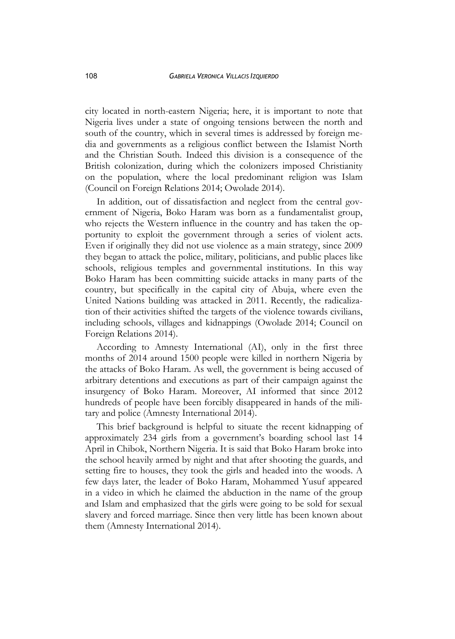city located in north-eastern Nigeria; here, it is important to note that Nigeria lives under a state of ongoing tensions between the north and south of the country, which in several times is addressed by foreign media and governments as a religious conflict between the Islamist North and the Christian South. Indeed this division is a consequence of the British colonization, during which the colonizers imposed Christianity on the population, where the local predominant religion was Islam (Council on Foreign Relations 2014; Owolade 2014).

In addition, out of dissatisfaction and neglect from the central government of Nigeria, Boko Haram was born as a fundamentalist group, who rejects the Western influence in the country and has taken the opportunity to exploit the government through a series of violent acts. Even if originally they did not use violence as a main strategy, since 2009 they began to attack the police, military, politicians, and public places like schools, religious temples and governmental institutions. In this way Boko Haram has been committing suicide attacks in many parts of the country, but specifically in the capital city of Abuja, where even the United Nations building was attacked in 2011. Recently, the radicalization of their activities shifted the targets of the violence towards civilians, including schools, villages and kidnappings (Owolade 2014; Council on Foreign Relations 2014).

According to Amnesty International (AI), only in the first three months of 2014 around 1500 people were killed in northern Nigeria by the attacks of Boko Haram. As well, the government is being accused of arbitrary detentions and executions as part of their campaign against the insurgency of Boko Haram. Moreover, AI informed that since 2012 hundreds of people have been forcibly disappeared in hands of the military and police (Amnesty International 2014).

This brief background is helpful to situate the recent kidnapping of approximately 234 girls from a government's boarding school last 14 April in Chibok, Northern Nigeria. It is said that Boko Haram broke into the school heavily armed by night and that after shooting the guards, and setting fire to houses, they took the girls and headed into the woods. A few days later, the leader of Boko Haram, Mohammed Yusuf appeared in a video in which he claimed the abduction in the name of the group and Islam and emphasized that the girls were going to be sold for sexual slavery and forced marriage. Since then very little has been known about them (Amnesty International 2014).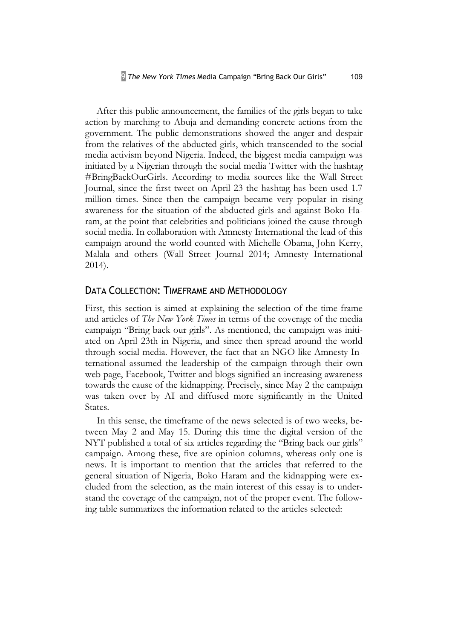After this public announcement, the families of the girls began to take action by marching to Abuja and demanding concrete actions from the government. The public demonstrations showed the anger and despair from the relatives of the abducted girls, which transcended to the social media activism beyond Nigeria. Indeed, the biggest media campaign was initiated by a Nigerian through the social media Twitter with the hashtag #BringBackOurGirls. According to media sources like the Wall Street Journal, since the first tweet on April 23 the hashtag has been used 1.7 million times. Since then the campaign became very popular in rising awareness for the situation of the abducted girls and against Boko Haram, at the point that celebrities and politicians joined the cause through social media. In collaboration with Amnesty International the lead of this campaign around the world counted with Michelle Obama, John Kerry, Malala and others (Wall Street Journal 2014; Amnesty International 2014).

## DATA COLLECTION: TIMEFRAME AND METHODOLOGY

First, this section is aimed at explaining the selection of the time-frame and articles of *The New York Times* in terms of the coverage of the media campaign "Bring back our girls". As mentioned, the campaign was initiated on April 23th in Nigeria, and since then spread around the world through social media. However, the fact that an NGO like Amnesty International assumed the leadership of the campaign through their own web page, Facebook, Twitter and blogs signified an increasing awareness towards the cause of the kidnapping. Precisely, since May 2 the campaign was taken over by AI and diffused more significantly in the United States.

In this sense, the timeframe of the news selected is of two weeks, between May 2 and May 15. During this time the digital version of the NYT published a total of six articles regarding the "Bring back our girls" campaign. Among these, five are opinion columns, whereas only one is news. It is important to mention that the articles that referred to the general situation of Nigeria, Boko Haram and the kidnapping were excluded from the selection, as the main interest of this essay is to understand the coverage of the campaign, not of the proper event. The following table summarizes the information related to the articles selected: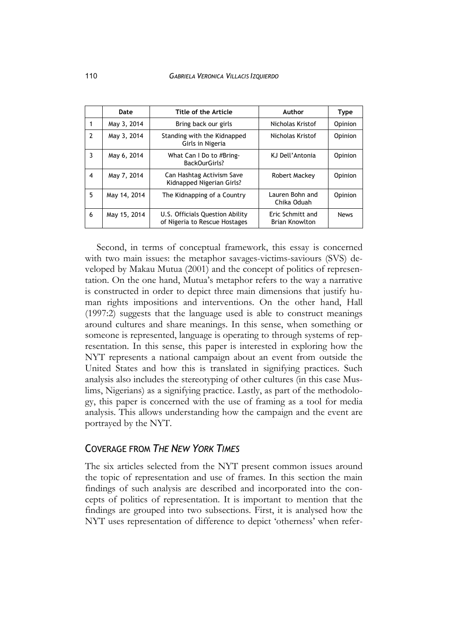|                         | Date         | Title of the Article                                             | Author                                    | Type        |
|-------------------------|--------------|------------------------------------------------------------------|-------------------------------------------|-------------|
|                         | May 3, 2014  | Bring back our girls                                             | Nicholas Kristof                          | Opinion     |
| $\mathcal{P}$           | May 3, 2014  | Standing with the Kidnapped<br>Girls in Nigeria                  | Nicholas Kristof                          | Opinion     |
| 3                       | May 6, 2014  | What Can I Do to #Bring-<br>BackOurGirls?                        | KJ Dell'Antonia                           | Opinion     |
| $\overline{\mathbf{4}}$ | May 7, 2014  | Can Hashtag Activism Save<br>Kidnapped Nigerian Girls?           | Robert Mackey                             | Opinion     |
| 5                       | May 14, 2014 | The Kidnapping of a Country                                      | Lauren Bohn and<br>Chika Oduah            | Opinion     |
| 6                       | May 15, 2014 | U.S. Officials Question Ability<br>of Nigeria to Rescue Hostages | Eric Schmitt and<br><b>Brian Knowlton</b> | <b>News</b> |

Second, in terms of conceptual framework, this essay is concerned with two main issues: the metaphor savages-victims-saviours (SVS) developed by Makau Mutua (2001) and the concept of politics of representation. On the one hand, Mutua's metaphor refers to the way a narrative is constructed in order to depict three main dimensions that justify human rights impositions and interventions. On the other hand, Hall (1997:2) suggests that the language used is able to construct meanings around cultures and share meanings. In this sense, when something or someone is represented, language is operating to through systems of representation. In this sense, this paper is interested in exploring how the NYT represents a national campaign about an event from outside the United States and how this is translated in signifying practices. Such analysis also includes the stereotyping of other cultures (in this case Muslims, Nigerians) as a signifying practice. Lastly, as part of the methodology, this paper is concerned with the use of framing as a tool for media analysis. This allows understanding how the campaign and the event are portrayed by the NYT.

# COVERAGE FROM *THE NEW YORK TIMES*

The six articles selected from the NYT present common issues around the topic of representation and use of frames. In this section the main findings of such analysis are described and incorporated into the concepts of politics of representation. It is important to mention that the findings are grouped into two subsections. First, it is analysed how the NYT uses representation of difference to depict 'otherness' when refer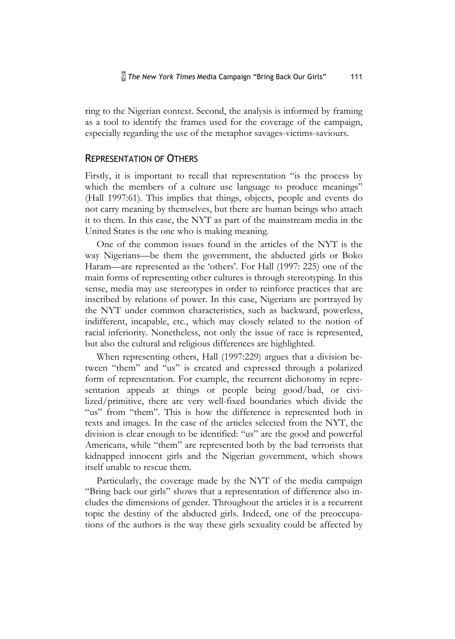ring to the Nigerian context. Second, the analysis is informed by framing as a tool to identify the frames used for the coverage of the campaign, especially regarding the use of the metaphor savages-victims-saviours.

#### REPRESENTATION OF OTHERS

Firstly, it is important to recall that representation "is the process by which the members of a culture use language to produce meanings" (Hall 1997:61). This implies that things, objects, people and events do not carry meaning by themselves, but there are human beings who attach it to them. In this case, the NYT as part of the mainstream media in the United States is the one who is making meaning.

One of the common issues found in the articles of the NYT is the way Nigerians—be them the government, the abducted girls or Boko Haram—are represented as the 'others'. For Hall (1997: 225) one of the main forms of representing other cultures is through stereotyping. In this sense, media may use stereotypes in order to reinforce practices that are inscribed by relations of power. In this case, Nigerians are portrayed by the NYT under common characteristics, such as backward, powerless, indifferent, incapable, etc., which may closely related to the notion of racial inferiority. Nonetheless, not only the issue of race is represented, but also the cultural and religious differences are highlighted.

When representing others, Hall (1997:229) argues that a division between "them" and "us" is created and expressed through a polarized form of representation. For example, the recurrent dichotomy in representation appeals at things or people being good/bad, or civilized/primitive, there are very well-fixed boundaries which divide the "us" from "them". This is how the difference is represented both in texts and images. In the case of the articles selected from the NYT, the division is clear enough to be identified: "us" are the good and powerful Americans, while "them" are represented both by the bad terrorists that kidnapped innocent girls and the Nigerian government, which shows itself unable to rescue them.

Particularly, the coverage made by the NYT of the media campaign "Bring back our girls" shows that a representation of difference also includes the dimensions of gender. Throughout the articles it is a recurrent topic the destiny of the abducted girls. Indeed, one of the preoccupations of the authors is the way these girls sexuality could be affected by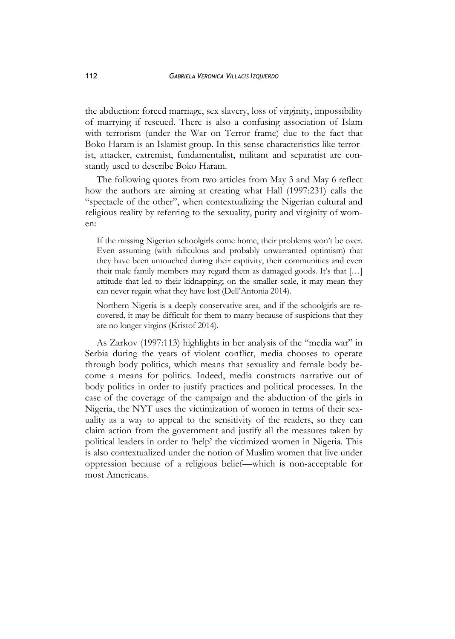the abduction: forced marriage, sex slavery, loss of virginity, impossibility of marrying if rescued. There is also a confusing association of Islam with terrorism (under the War on Terror frame) due to the fact that Boko Haram is an Islamist group. In this sense characteristics like terrorist, attacker, extremist, fundamentalist, militant and separatist are constantly used to describe Boko Haram.

The following quotes from two articles from May 3 and May 6 reflect how the authors are aiming at creating what Hall (1997:231) calls the "spectacle of the other", when contextualizing the Nigerian cultural and religious reality by referring to the sexuality, purity and virginity of women:

If the missing Nigerian schoolgirls come home, their problems won't be over. Even assuming (with ridiculous and probably unwarranted optimism) that they have been untouched during their captivity, their communities and even their male family members may regard them as damaged goods. It's that […] attitude that led to their kidnapping; on the smaller scale, it may mean they can never regain what they have lost (Dell'Antonia 2014).

Northern Nigeria is a deeply conservative area, and if the schoolgirls are recovered, it may be difficult for them to marry because of suspicions that they are no longer virgins (Kristof 2014).

As Zarkov (1997:113) highlights in her analysis of the "media war" in Serbia during the years of violent conflict, media chooses to operate through body politics, which means that sexuality and female body become a means for politics. Indeed, media constructs narrative out of body politics in order to justify practices and political processes. In the case of the coverage of the campaign and the abduction of the girls in Nigeria, the NYT uses the victimization of women in terms of their sexuality as a way to appeal to the sensitivity of the readers, so they can claim action from the government and justify all the measures taken by political leaders in order to 'help' the victimized women in Nigeria. This is also contextualized under the notion of Muslim women that live under oppression because of a religious belief—which is non-acceptable for most Americans.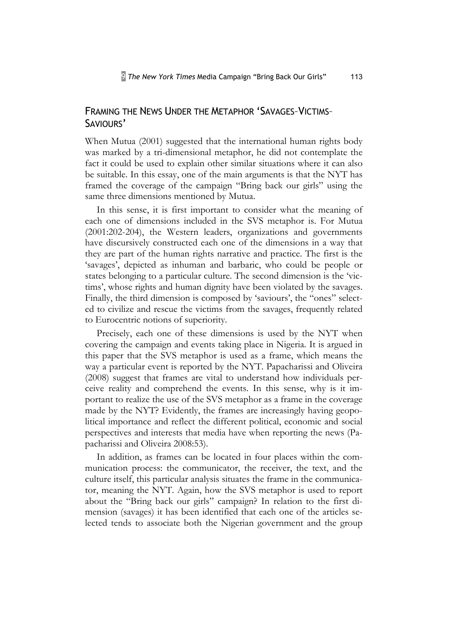# FRAMING THE NEWS UNDER THE METAPHOR 'SAVAGES–VICTIMS– SAVIOURS'

When Mutua (2001) suggested that the international human rights body was marked by a tri-dimensional metaphor, he did not contemplate the fact it could be used to explain other similar situations where it can also be suitable. In this essay, one of the main arguments is that the NYT has framed the coverage of the campaign "Bring back our girls" using the same three dimensions mentioned by Mutua.

In this sense, it is first important to consider what the meaning of each one of dimensions included in the SVS metaphor is. For Mutua (2001:202-204), the Western leaders, organizations and governments have discursively constructed each one of the dimensions in a way that they are part of the human rights narrative and practice. The first is the 'savages', depicted as inhuman and barbaric, who could be people or states belonging to a particular culture. The second dimension is the 'victims', whose rights and human dignity have been violated by the savages. Finally, the third dimension is composed by 'saviours', the "ones" selected to civilize and rescue the victims from the savages, frequently related to Eurocentric notions of superiority.

Precisely, each one of these dimensions is used by the NYT when covering the campaign and events taking place in Nigeria. It is argued in this paper that the SVS metaphor is used as a frame, which means the way a particular event is reported by the NYT. Papacharissi and Oliveira (2008) suggest that frames are vital to understand how individuals perceive reality and comprehend the events. In this sense, why is it important to realize the use of the SVS metaphor as a frame in the coverage made by the NYT? Evidently, the frames are increasingly having geopolitical importance and reflect the different political, economic and social perspectives and interests that media have when reporting the news (Papacharissi and Oliveira 2008:53).

In addition, as frames can be located in four places within the communication process: the communicator, the receiver, the text, and the culture itself, this particular analysis situates the frame in the communicator, meaning the NYT. Again, how the SVS metaphor is used to report about the "Bring back our girls" campaign? In relation to the first dimension (savages) it has been identified that each one of the articles selected tends to associate both the Nigerian government and the group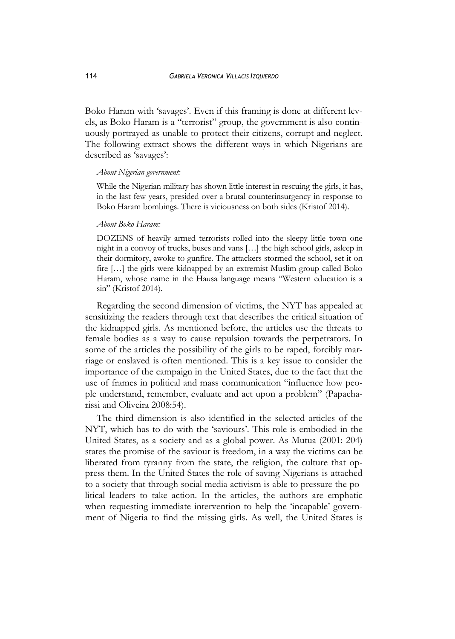Boko Haram with 'savages'. Even if this framing is done at different levels, as Boko Haram is a "terrorist" group, the government is also continuously portrayed as unable to protect their citizens, corrupt and neglect. The following extract shows the different ways in which Nigerians are described as 'savages':

#### *About Nigerian government:*

While the Nigerian military has shown little interest in rescuing the girls, it has, in the last few years, presided over a brutal counterinsurgency in response to Boko Haram bombings. There is viciousness on both sides (Kristof 2014).

#### *About Boko Haram:*

DOZENS of heavily armed terrorists rolled into the sleepy little town one night in a convoy of trucks, buses and vans […] the high school girls, asleep in their dormitory, awoke to gunfire. The attackers stormed the school, set it on fire […] the girls were kidnapped by an extremist Muslim group called Boko Haram, whose name in the Hausa language means "Western education is a sin" (Kristof 2014).

Regarding the second dimension of victims, the NYT has appealed at sensitizing the readers through text that describes the critical situation of the kidnapped girls. As mentioned before, the articles use the threats to female bodies as a way to cause repulsion towards the perpetrators. In some of the articles the possibility of the girls to be raped, forcibly marriage or enslaved is often mentioned. This is a key issue to consider the importance of the campaign in the United States, due to the fact that the use of frames in political and mass communication "influence how people understand, remember, evaluate and act upon a problem" (Papacharissi and Oliveira 2008:54).

The third dimension is also identified in the selected articles of the NYT, which has to do with the 'saviours'. This role is embodied in the United States, as a society and as a global power. As Mutua (2001: 204) states the promise of the saviour is freedom, in a way the victims can be liberated from tyranny from the state, the religion, the culture that oppress them. In the United States the role of saving Nigerians is attached to a society that through social media activism is able to pressure the political leaders to take action. In the articles, the authors are emphatic when requesting immediate intervention to help the 'incapable' government of Nigeria to find the missing girls. As well, the United States is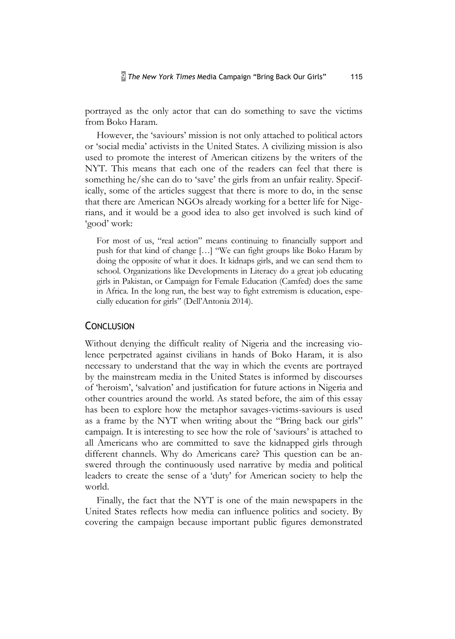portrayed as the only actor that can do something to save the victims from Boko Haram.

However, the 'saviours' mission is not only attached to political actors or 'social media' activists in the United States. A civilizing mission is also used to promote the interest of American citizens by the writers of the NYT. This means that each one of the readers can feel that there is something he/she can do to 'save' the girls from an unfair reality. Specifically, some of the articles suggest that there is more to do, in the sense that there are American NGOs already working for a better life for Nigerians, and it would be a good idea to also get involved is such kind of 'good' work:

For most of us, "real action" means continuing to financially support and push for that kind of change […] "We can fight groups like Boko Haram by doing the opposite of what it does. It kidnaps girls, and we can send them to school. Organizations like Developments in Literacy do a great job educating girls in Pakistan, or Campaign for Female Education (Camfed) does the same in Africa. In the long run, the best way to fight extremism is education, especially education for girls" (Dell'Antonia 2014).

#### **CONCLUSION**

Without denying the difficult reality of Nigeria and the increasing violence perpetrated against civilians in hands of Boko Haram, it is also necessary to understand that the way in which the events are portrayed by the mainstream media in the United States is informed by discourses of 'heroism', 'salvation' and justification for future actions in Nigeria and other countries around the world. As stated before, the aim of this essay has been to explore how the metaphor savages-victims-saviours is used as a frame by the NYT when writing about the "Bring back our girls" campaign. It is interesting to see how the role of 'saviours' is attached to all Americans who are committed to save the kidnapped girls through different channels. Why do Americans care? This question can be answered through the continuously used narrative by media and political leaders to create the sense of a 'duty' for American society to help the world.

Finally, the fact that the NYT is one of the main newspapers in the United States reflects how media can influence politics and society. By covering the campaign because important public figures demonstrated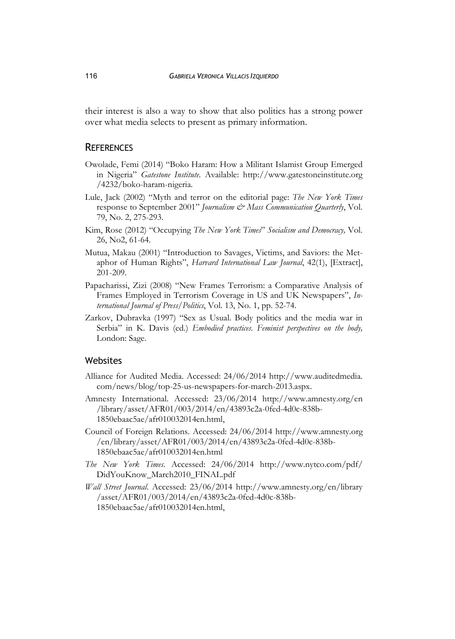their interest is also a way to show that also politics has a strong power over what media selects to present as primary information.

#### **REFERENCES**

- Owolade, Femi (2014) "Boko Haram: How a Militant Islamist Group Emerged in Nigeria" *Gatestone Institute.* Available: http://www.gatestoneinstitute.org /4232/boko-haram-nigeria.
- Lule, Jack (2002) "Myth and terror on the editorial page: *The New York Times* response to September 2001" *Journalism & Mass Communication Quarterly*, Vol. 79, No. 2, 275-293.
- Kim, Rose (2012) "Occupying *The New York Times*" *Socialism and Democracy,* Vol. 26, No2, 61-64.
- Mutua, Makau (2001) "Introduction to Savages, Victims, and Saviors: the Metaphor of Human Rights", *Harvard International Law Journal*, 42(1), [Extract], 201-209.
- Papacharissi, Zizi (2008) "New Frames Terrorism: a Comparative Analysis of Frames Employed in Terrorism Coverage in US and UK Newspapers", *International Journal of Press/Politics*, Vol. 13, No. 1, pp. 52-74.
- Zarkov, Dubravka (1997) "Sex as Usual. Body politics and the media war in Serbia" in K. Davis (ed.) *Embodied practices. Feminist perspectives on the body,*  London: Sage.

### Websites

- Alliance for Audited Media. Accessed: 24/06/2014 http://www.auditedmedia. com/news/blog/top-25-us-newspapers-for-march-2013.aspx.
- Amnesty International. Accessed: 23/06/2014 http://www.amnesty.org/en /library/asset/AFR01/003/2014/en/43893c2a-0fed-4d0c-838b-1850ebaac5ae/afr010032014en.html,
- Council of Foreign Relations. Accessed: 24/06/2014 http://www.amnesty.org /en/library/asset/AFR01/003/2014/en/43893c2a-0fed-4d0c-838b-1850ebaac5ae/afr010032014en.html
- *The New York Times*. Accessed: 24/06/2014 http://www.nytco.com/pdf/ DidYouKnow\_March2010\_FINAL.pdf
- *Wall Street Journal*. Accessed: 23/06/2014 http://www.amnesty.org/en/library /asset/AFR01/003/2014/en/43893c2a-0fed-4d0c-838b-1850ebaac5ae/afr010032014en.html,